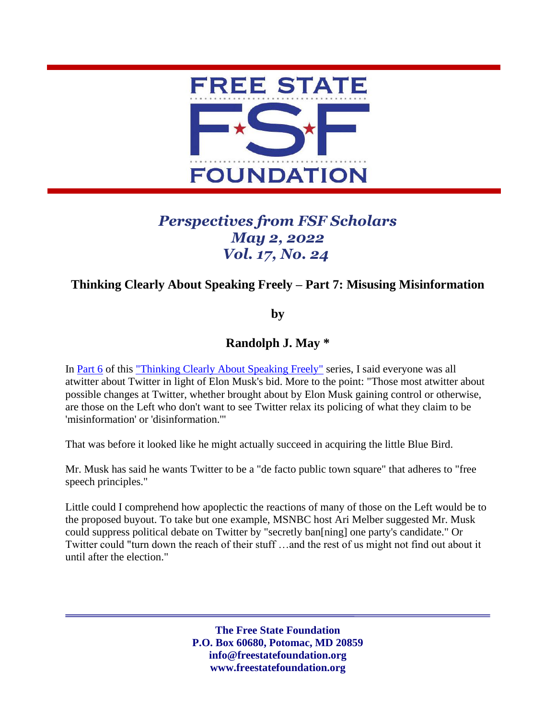

## *Perspectives from FSF Scholars May 2, 2022 Vol. 17, No. 24*

## **Thinking Clearly About Speaking Freely – Part 7: Misusing Misinformation**

**by**

**Randolph J. May \***

In [Part 6](https://freestatefoundation.org/wp-content/uploads/2022/06/Thinking-Clearly-About-Speaking-Freely-%E2%80%93-Part-6-All-Atwitter-About-Twitter-041822.pdf) of this ["Thinking Clearly About Speaking Freely"](https://freestatefoundation.org/thinking-clearly-about-speaking-freely-2/) series, I said everyone was all atwitter about Twitter in light of Elon Musk's bid. More to the point: "Those most atwitter about possible changes at Twitter, whether brought about by Elon Musk gaining control or otherwise, are those on the Left who don't want to see Twitter relax its policing of what they claim to be 'misinformation' or 'disinformation.'"

That was before it looked like he might actually succeed in acquiring the little Blue Bird.

Mr. Musk has said he wants Twitter to be a "de facto public town square" that adheres to "free speech principles."

Little could I comprehend how apoplectic the reactions of many of those on the Left would be to the proposed buyout. To take but one example, MSNBC host Ari Melber suggested Mr. Musk could suppress political debate on Twitter by "secretly ban[ning] one party's candidate." Or Twitter could "turn down the reach of their stuff …and the rest of us might not find out about it until after the election."

> **The Free State Foundation P.O. Box 60680, Potomac, MD 20859 info@freestatefoundation.org www.freestatefoundation.org**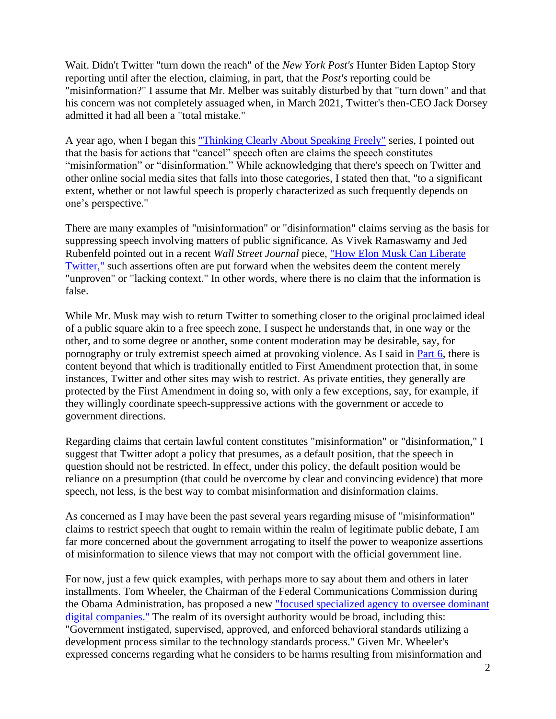Wait. Didn't Twitter "turn down the reach" of the *New York Post's* Hunter Biden Laptop Story reporting until after the election, claiming, in part, that the *Post's* reporting could be "misinformation?" I assume that Mr. Melber was suitably disturbed by that "turn down" and that his concern was not completely assuaged when, in March 2021, Twitter's then-CEO Jack Dorsey admitted it had all been a "total mistake."

A year ago, when I began this ["Thinking Clearly About Speaking Freely"](https://freestatefoundation.org/wp-content/uploads/2021/04/Thinking-Clearly-About-Speaking-Freely-–-Part-1-041921.pdf) series, I pointed out that the basis for actions that "cancel" speech often are claims the speech constitutes "misinformation" or "disinformation." While acknowledging that there's speech on Twitter and other online social media sites that falls into those categories, I stated then that, "to a significant extent, whether or not lawful speech is properly characterized as such frequently depends on one's perspective."

There are many examples of "misinformation" or "disinformation" claims serving as the basis for suppressing speech involving matters of public significance. As Vivek Ramaswamy and Jed Rubenfeld pointed out in a recent *Wall Street Journal* piece, ["How Elon Musk Can Liberate](https://www.wsj.com/articles/how-elon-musk-can-liberate-twitter-censorship-fact-check-free-speech-buy-website-platform-takeover-content-moderation-hate-speech-misinformation-disinformation-11650983718)  [Twitter,"](https://www.wsj.com/articles/how-elon-musk-can-liberate-twitter-censorship-fact-check-free-speech-buy-website-platform-takeover-content-moderation-hate-speech-misinformation-disinformation-11650983718) such assertions often are put forward when the websites deem the content merely "unproven" or "lacking context." In other words, where there is no claim that the information is false.

While Mr. Musk may wish to return Twitter to something closer to the original proclaimed ideal of a public square akin to a free speech zone, I suspect he understands that, in one way or the other, and to some degree or another, some content moderation may be desirable, say, for pornography or truly extremist speech aimed at provoking violence. As I said in [Part 6,](https://freestatefoundation.org/wp-content/uploads/2022/06/Thinking-Clearly-About-Speaking-Freely-%E2%80%93-Part-6-All-Atwitter-About-Twitter-041822.pdf) there is content beyond that which is traditionally entitled to First Amendment protection that, in some instances, Twitter and other sites may wish to restrict. As private entities, they generally are protected by the First Amendment in doing so, with only a few exceptions, say, for example, if they willingly coordinate speech-suppressive actions with the government or accede to government directions.

Regarding claims that certain lawful content constitutes "misinformation" or "disinformation," I suggest that Twitter adopt a policy that presumes, as a default position, that the speech in question should not be restricted. In effect, under this policy, the default position would be reliance on a presumption (that could be overcome by clear and convincing evidence) that more speech, not less, is the best way to combat misinformation and disinformation claims.

As concerned as I may have been the past several years regarding misuse of "misinformation" claims to restrict speech that ought to remain within the realm of legitimate public debate, I am far more concerned about the government arrogating to itself the power to weaponize assertions of misinformation to silence views that may not comport with the official government line.

For now, just a few quick examples, with perhaps more to say about them and others in later installments. Tom Wheeler, the Chairman of the Federal Communications Commission during the Obama Administration, has proposed a new ["focused specialized agency to oversee dominant](https://www.brookings.edu/research/a-focused-federal-agency-is-necessary-to-oversee-big-tech/)  [digital companies."](https://www.brookings.edu/research/a-focused-federal-agency-is-necessary-to-oversee-big-tech/) The realm of its oversight authority would be broad, including this: "Government instigated, supervised, approved, and enforced behavioral standards utilizing a development process similar to the technology standards process." Given Mr. Wheeler's expressed concerns regarding what he considers to be harms resulting from misinformation and